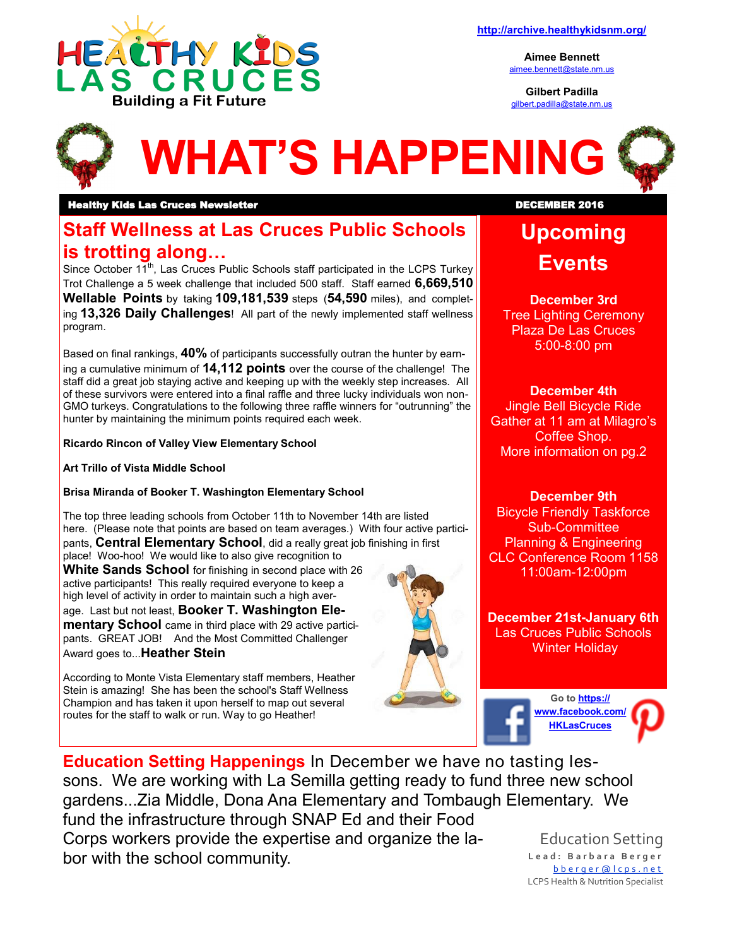

**Aimee Bennett** [aimee.bennett@state.nm.us](mailto:aimee.bennett@state.nm.us)

**Gilbert Padilla** [gilbert.padilla@state.nm.us](mailto:gilbert.padilla@state.nm.us)



#### **Healthy Kids Las Cruces Newsletter Newsletter Research Construction Construction Construction Construction Const**

### **Staff Wellness at Las Cruces Public Schools is trotting along…**

Since October 11<sup>th</sup>, Las Cruces Public Schools staff participated in the LCPS Turkey Trot Challenge a 5 week challenge that included 500 staff. Staff earned **6,669,510 Wellable Points** by taking **109,181,539** steps (**54,590** miles), and completing **13,326 Daily Challenges**! All part of the newly implemented staff wellness program.

Based on final rankings, **40%** of participants successfully outran the hunter by earning a cumulative minimum of **14,112 points** over the course of the challenge! The staff did a great job staying active and keeping up with the weekly step increases. All of these survivors were entered into a final raffle and three lucky individuals won non-GMO turkeys. Congratulations to the following three raffle winners for "outrunning" the hunter by maintaining the minimum points required each week.

#### **Ricardo Rincon of Valley View Elementary School**

**Art Trillo of Vista Middle School**

#### **Brisa Miranda of Booker T. Washington Elementary School**

The top three leading schools from October 11th to November 14th are listed here. (Please note that points are based on team averages.) With four active participants, **Central Elementary School**, did a really great job finishing in first place! Woo-hoo! We would like to also give recognition to

**White Sands School** for finishing in second place with 26 active participants! This really required everyone to keep a high level of activity in order to maintain such a high aver-

age. Last but not least, **Booker T. Washington Elementary School** came in third place with 29 active participants. GREAT JOB! And the Most Committed Challenger

Award goes to...**Heather Stein**

According to Monte Vista Elementary staff members, Heather Stein is amazing! She has been the school's Staff Wellness Champion and has taken it upon herself to map out several routes for the staff to walk or run. Way to go Heather!



# **Upcoming Events**

**December 3rd** Tree Lighting Ceremony Plaza De Las Cruces 5:00-8:00 pm

#### **December 4th**

Jingle Bell Bicycle Ride Gather at 11 am at Milagro's Coffee Shop. More information on pg.2

#### **December 9th**

Bicycle Friendly Taskforce Sub-Committee Planning & Engineering CLC Conference Room 1158 11:00am-12:00pm

**December 21st-January 6th** Las Cruces Public Schools Winter Holiday

> **Go to [https://](https://www.facebook.com/HKLasCruces?ref=hl) [www.facebook.com](https://www.facebook.com/HKLasCruces?ref=hl)[/](https://www.pinterest.com/nmdoh/healthy-kids-las-cruces/) [HKLasCruces](https://www.facebook.com/HKLasCruces?ref=hl)**

**Education Setting Happenings** In December we have no tasting lessons. We are working with La Semilla getting ready to fund three new school gardens...Zia Middle, Dona Ana Elementary and Tombaugh Elementary. We fund the infrastructure through SNAP Ed and their Food Corps workers provide the expertise and organize the labor with the school community. Education Setting

**L e a d : B a r b a r a B e r g e r** [b b e r g e r @ l c p s . n e t](mailto:bberger@lcps.k12.nm.us) LCPS Health & Nutrition Specialist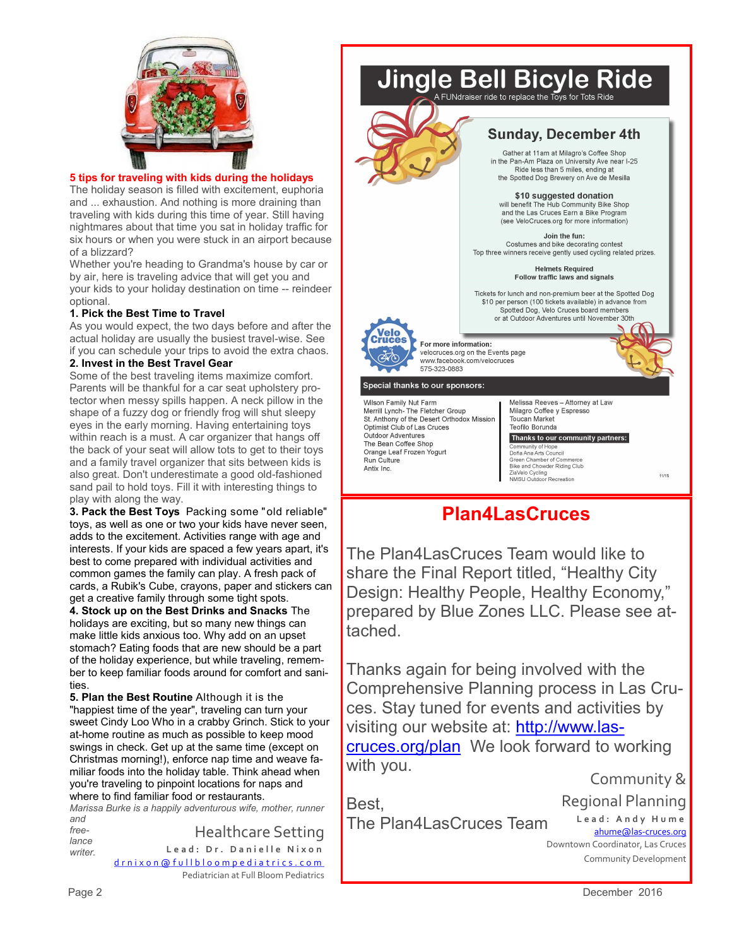

#### **5 tips for traveling with kids during the holidays**

The holiday season is filled with excitement, euphoria and ... exhaustion. And nothing is more draining than traveling with kids during this time of year. Still having nightmares about that time you sat in holiday traffic for six hours or when you were stuck in an airport because of a blizzard?

Whether you're heading to Grandma's house by car or by air, here is traveling advice that will get you and your kids to your holiday destination on time -- reindeer optional.

#### **1. Pick the Best Time to Travel**

As you would expect, the two days before and after the actual holiday are usually the busiest travel-wise. See if you can schedule your trips to avoid the extra chaos.

#### **2. Invest in the Best Travel Gear**

Some of the best traveling items maximize comfort. Parents will be thankful for a car seat upholstery protector when messy spills happen. A neck pillow in the shape of a fuzzy dog or friendly frog will shut sleepy eyes in the early morning. Having entertaining toys within reach is a must. A car organizer that hangs off the back of your seat will allow tots to get to their toys and a family travel organizer that sits between kids is also great. Don't underestimate a good old-fashioned sand pail to hold toys. Fill it with interesting things to play with along the way.

**3. Pack the Best Toys** Packing some "old reliable" toys, as well as one or two your kids have never seen, adds to the excitement. Activities range with age and interests. If your kids are spaced a few years apart, it's best to come prepared with individual activities and common games the family can play. A fresh pack of cards, a Rubik's Cube, crayons, paper and stickers can get a creative family through some tight spots.

**4. Stock up on the Best Drinks and Snacks** The holidays are exciting, but so many new things can make little kids anxious too. Why add on an upset stomach? Eating foods that are new should be a part of the holiday experience, but while traveling, remember to keep familiar foods around for comfort and sanities.

**5. Plan the Best Routine** Although it is the "happiest time of the year", traveling can turn your sweet Cindy Loo Who in a crabby Grinch. Stick to your at-home routine as much as possible to keep mood swings in check. Get up at the same time (except on Christmas morning!), enforce nap time and weave familiar foods into the holiday table. Think ahead when you're traveling to pinpoint locations for naps and where to find familiar food or restaurants.

*Marissa Burke is a happily adventurous wife, mother, runner and* 

*freelance writer.*  Healthcare Setting Lead: Dr. Danielle Nixon [d r n i x o n @ f u l l b l o o m p e d i a t r i c s . c o m](mailto:drnixon@fullbloompediatrics.com) Pediatrician at Full Bloom Pediatrics



### **Plan4LasCruces**

Since and Showder Huange<br>ZiaVelo Cycling<br>NMSU Outdoor Recreation

The Plan4LasCruces Team would like to share the Final Report titled, "Healthy City Design: Healthy People, Healthy Economy," prepared by Blue Zones LLC. Please see attached.

Thanks again for being involved with the Comprehensive Planning process in Las Cruces. Stay tuned for events and activities by visiting our website at: [http://www.las](http://www.las-cruces.org/plan)[cruces.org/plan](http://www.las-cruces.org/plan) We look forward to working with you.

Community &

11/15

Best, The Plan4LasCruces Team

Antix Inc.

Regional Planning **L e a d : A n d y H u m e** [ahume@las](mailto:ahume@las-cruces.org)-cruces.org

 Downtown Coordinator, Las Cruces Community Development